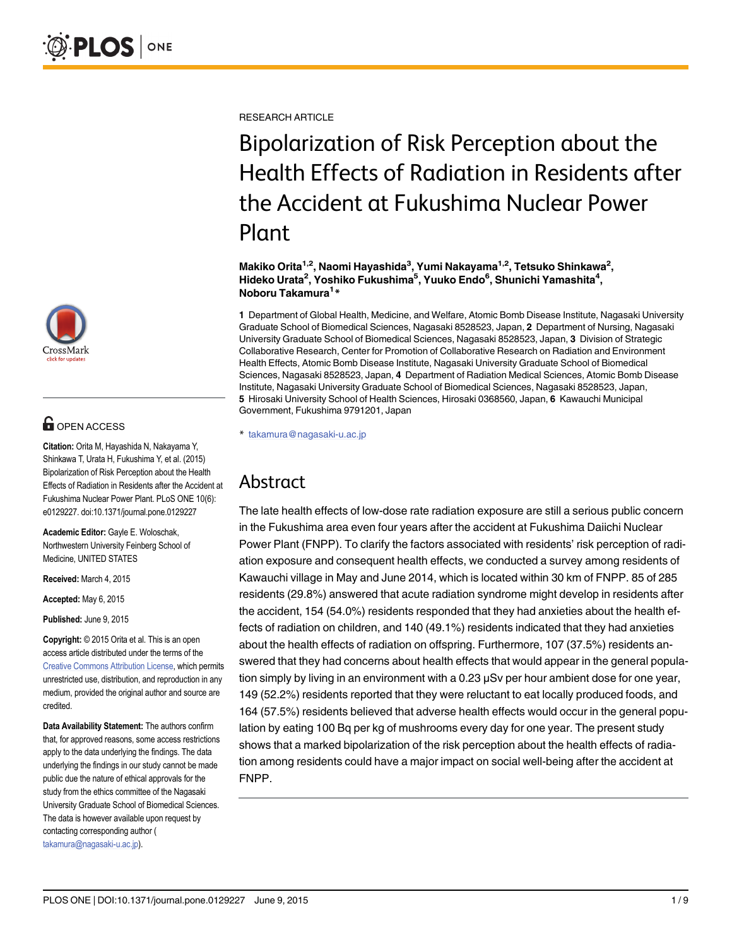

# **OPEN ACCESS**

Citation: Orita M, Hayashida N, Nakayama Y, Shinkawa T, Urata H, Fukushima Y, et al. (2015) Bipolarization of Risk Perception about the Health Effects of Radiation in Residents after the Accident at Fukushima Nuclear Power Plant. PLoS ONE 10(6): e0129227. doi:10.1371/journal.pone.0129227

Academic Editor: Gayle E. Woloschak, Northwestern University Feinberg School of Medicine, UNITED STATES

Received: March 4, 2015

Accepted: May 6, 2015

Published: June 9, 2015

Copyright: © 2015 Orita et al. This is an open access article distributed under the terms of the [Creative Commons Attribution License,](http://creativecommons.org/licenses/by/4.0/) which permits unrestricted use, distribution, and reproduction in any medium, provided the original author and source are credited.

Data Availability Statement: The authors confirm that, for approved reasons, some access restrictions apply to the data underlying the findings. The data underlying the findings in our study cannot be made public due the nature of ethical approvals for the study from the ethics committee of the Nagasaki University Graduate School of Biomedical Sciences. The data is however available upon request by contacting corresponding author ( takamura@nagasaki-u.ac.jp).

RESEARCH ARTICLE

# Bipolarization of Risk Perception about the Health Effects of Radiation in Residents after the Accident at Fukushima Nuclear Power Plant

Makiko Orita<sup>1,2</sup>, Naomi Hayashida<sup>3</sup>, Yumi Nakayama<sup>1,2</sup>, Tetsuko Shinkawa<sup>2</sup>, Hideko Urata<sup>2</sup>, Yoshiko Fukushima<sup>5</sup>, Yuuko Endo<sup>6</sup>, Shunichi Yamashita<sup>4</sup>, Noboru Takamura<sup>1</sup>\*

1 Department of Global Health, Medicine, and Welfare, Atomic Bomb Disease Institute, Nagasaki University Graduate School of Biomedical Sciences, Nagasaki 8528523, Japan, 2 Department of Nursing, Nagasaki University Graduate School of Biomedical Sciences, Nagasaki 8528523, Japan, 3 Division of Strategic Collaborative Research, Center for Promotion of Collaborative Research on Radiation and Environment Health Effects, Atomic Bomb Disease Institute, Nagasaki University Graduate School of Biomedical Sciences, Nagasaki 8528523, Japan, 4 Department of Radiation Medical Sciences, Atomic Bomb Disease Institute, Nagasaki University Graduate School of Biomedical Sciences, Nagasaki 8528523, Japan, 5 Hirosaki University School of Health Sciences, Hirosaki 0368560, Japan, 6 Kawauchi Municipal Government, Fukushima 9791201, Japan

\* takamura@nagasaki-u.ac.jp

# Abstract

The late health effects of low-dose rate radiation exposure are still a serious public concern in the Fukushima area even four years after the accident at Fukushima Daiichi Nuclear Power Plant (FNPP). To clarify the factors associated with residents' risk perception of radiation exposure and consequent health effects, we conducted a survey among residents of Kawauchi village in May and June 2014, which is located within 30 km of FNPP. 85 of 285 residents (29.8%) answered that acute radiation syndrome might develop in residents after the accident, 154 (54.0%) residents responded that they had anxieties about the health effects of radiation on children, and 140 (49.1%) residents indicated that they had anxieties about the health effects of radiation on offspring. Furthermore, 107 (37.5%) residents answered that they had concerns about health effects that would appear in the general population simply by living in an environment with a 0.23 μSv per hour ambient dose for one year, 149 (52.2%) residents reported that they were reluctant to eat locally produced foods, and 164 (57.5%) residents believed that adverse health effects would occur in the general population by eating 100 Bq per kg of mushrooms every day for one year. The present study shows that a marked bipolarization of the risk perception about the health effects of radiation among residents could have a major impact on social well-being after the accident at FNPP.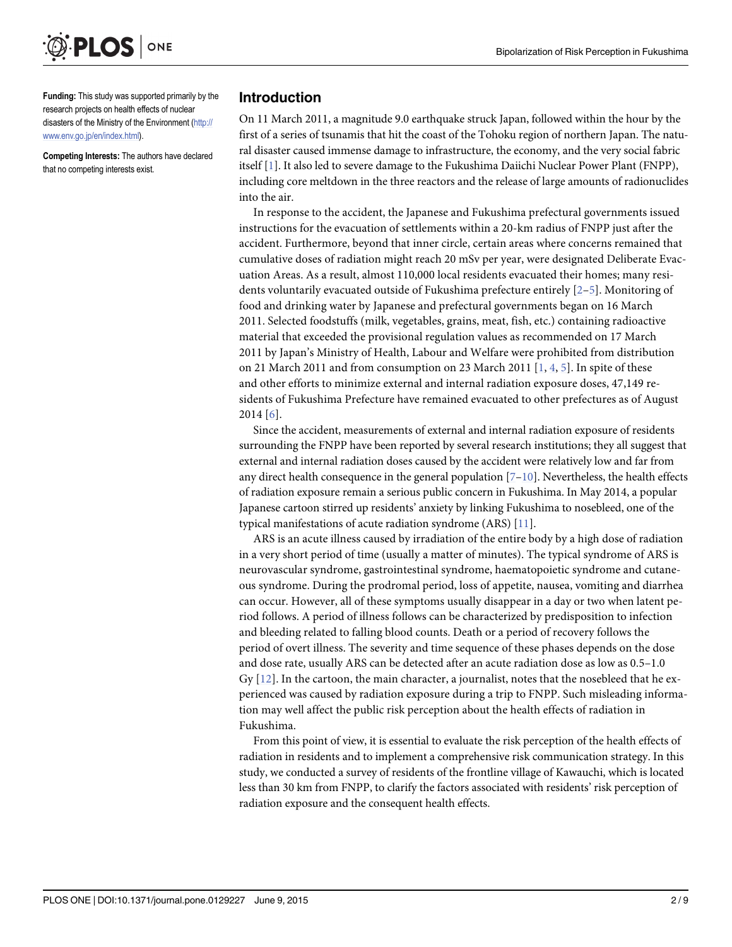<span id="page-1-0"></span>

Funding: This study was supported primarily by the research projects on health effects of nuclear disasters of the Ministry of the Environment [\(http://](http://www.env.go.jp/en/index.html) [www.env.go.jp/en/index.html](http://www.env.go.jp/en/index.html)).

Competing Interests: The authors have declared that no competing interests exist.

# Introduction

On 11 March 2011, a magnitude 9.0 earthquake struck Japan, followed within the hour by the first of a series of tsunamis that hit the coast of the Tohoku region of northern Japan. The natural disaster caused immense damage to infrastructure, the economy, and the very social fabric itself [[1](#page-6-0)]. It also led to severe damage to the Fukushima Daiichi Nuclear Power Plant (FNPP), including core meltdown in the three reactors and the release of large amounts of radionuclides into the air.

In response to the accident, the Japanese and Fukushima prefectural governments issued instructions for the evacuation of settlements within a 20-km radius of FNPP just after the accident. Furthermore, beyond that inner circle, certain areas where concerns remained that cumulative doses of radiation might reach 20 mSv per year, were designated Deliberate Evacuation Areas. As a result, almost 110,000 local residents evacuated their homes; many residents voluntarily evacuated outside of Fukushima prefecture entirely [[2](#page-7-0)–[5\]](#page-7-0). Monitoring of food and drinking water by Japanese and prefectural governments began on 16 March 2011. Selected foodstuffs (milk, vegetables, grains, meat, fish, etc.) containing radioactive material that exceeded the provisional regulation values as recommended on 17 March 2011 by Japan's Ministry of Health, Labour and Welfare were prohibited from distribution on 21 March 2011 and from consumption on 23 March 2011 [\[1](#page-6-0), [4,](#page-7-0) [5](#page-7-0)]. In spite of these and other efforts to minimize external and internal radiation exposure doses, 47,149 residents of Fukushima Prefecture have remained evacuated to other prefectures as of August  $2014$  [\[6](#page-7-0)].

Since the accident, measurements of external and internal radiation exposure of residents surrounding the FNPP have been reported by several research institutions; they all suggest that external and internal radiation doses caused by the accident were relatively low and far from any direct health consequence in the general population  $[7-10]$  $[7-10]$  $[7-10]$  $[7-10]$  $[7-10]$ . Nevertheless, the health effects of radiation exposure remain a serious public concern in Fukushima. In May 2014, a popular Japanese cartoon stirred up residents' anxiety by linking Fukushima to nosebleed, one of the typical manifestations of acute radiation syndrome (ARS) [\[11\]](#page-7-0).

ARS is an acute illness caused by irradiation of the entire body by a high dose of radiation in a very short period of time (usually a matter of minutes). The typical syndrome of ARS is neurovascular syndrome, gastrointestinal syndrome, haematopoietic syndrome and cutaneous syndrome. During the prodromal period, loss of appetite, nausea, vomiting and diarrhea can occur. However, all of these symptoms usually disappear in a day or two when latent period follows. A period of illness follows can be characterized by predisposition to infection and bleeding related to falling blood counts. Death or a period of recovery follows the period of overt illness. The severity and time sequence of these phases depends on the dose and dose rate, usually ARS can be detected after an acute radiation dose as low as 0.5–1.0 Gy  $[12]$  $[12]$  $[12]$ . In the cartoon, the main character, a journalist, notes that the nosebleed that he experienced was caused by radiation exposure during a trip to FNPP. Such misleading information may well affect the public risk perception about the health effects of radiation in Fukushima.

From this point of view, it is essential to evaluate the risk perception of the health effects of radiation in residents and to implement a comprehensive risk communication strategy. In this study, we conducted a survey of residents of the frontline village of Kawauchi, which is located less than 30 km from FNPP, to clarify the factors associated with residents' risk perception of radiation exposure and the consequent health effects.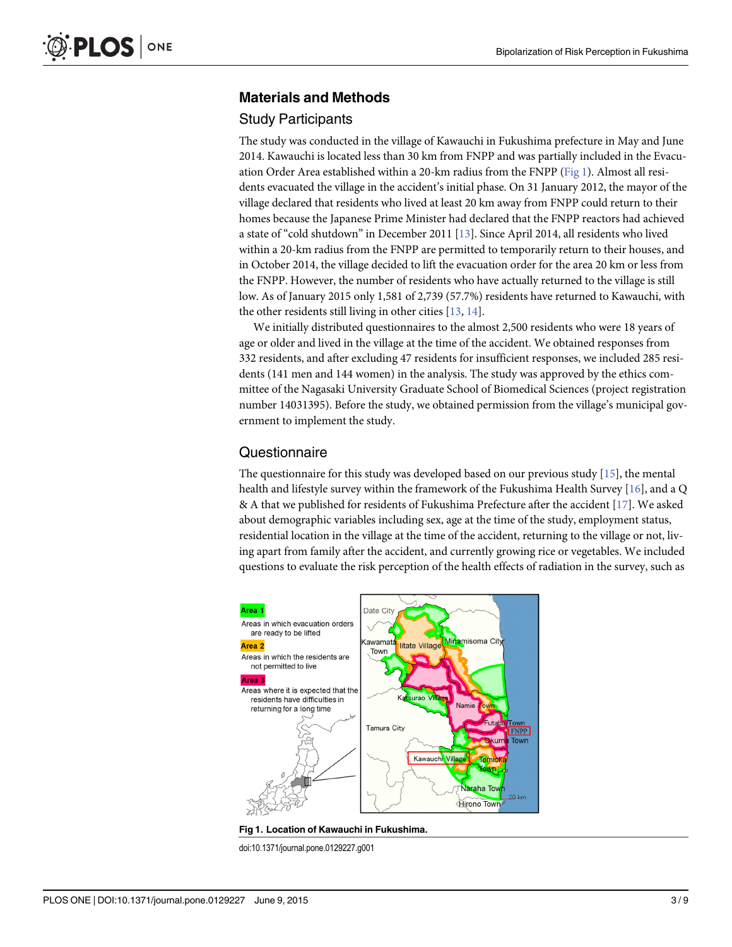### <span id="page-2-0"></span>Materials and Methods

#### Study Participants

The study was conducted in the village of Kawauchi in Fukushima prefecture in May and June 2014. Kawauchi is located less than 30 km from FNPP and was partially included in the Evacuation Order Area established within a 20-km radius from the FNPP (Fig 1). Almost all residents evacuated the village in the accident's initial phase. On 31 January 2012, the mayor of the village declared that residents who lived at least 20 km away from FNPP could return to their homes because the Japanese Prime Minister had declared that the FNPP reactors had achieved a state of "cold shutdown" in December 2011 [\[13\]](#page-7-0). Since April 2014, all residents who lived within a 20-km radius from the FNPP are permitted to temporarily return to their houses, and in October 2014, the village decided to lift the evacuation order for the area 20 km or less from the FNPP. However, the number of residents who have actually returned to the village is still low. As of January 2015 only 1,581 of 2,739 (57.7%) residents have returned to Kawauchi, with the other residents still living in other cities [\[13,](#page-7-0) [14\]](#page-7-0).

We initially distributed questionnaires to the almost 2,500 residents who were 18 years of age or older and lived in the village at the time of the accident. We obtained responses from 332 residents, and after excluding 47 residents for insufficient responses, we included 285 residents (141 men and 144 women) in the analysis. The study was approved by the ethics committee of the Nagasaki University Graduate School of Biomedical Sciences (project registration number 14031395). Before the study, we obtained permission from the village's municipal government to implement the study.

### **Questionnaire**

The questionnaire for this study was developed based on our previous study  $[15]$ , the mental health and lifestyle survey within the framework of the Fukushima Health Survey [\[16\]](#page-7-0), and a Q & A that we published for residents of Fukushima Prefecture after the accident [[17](#page-7-0)]. We asked about demographic variables including sex, age at the time of the study, employment status, residential location in the village at the time of the accident, returning to the village or not, living apart from family after the accident, and currently growing rice or vegetables. We included questions to evaluate the risk perception of the health effects of radiation in the survey, such as



Fig 1. Location of Kawauchi in Fukushima.

doi:10.1371/journal.pone.0129227.g001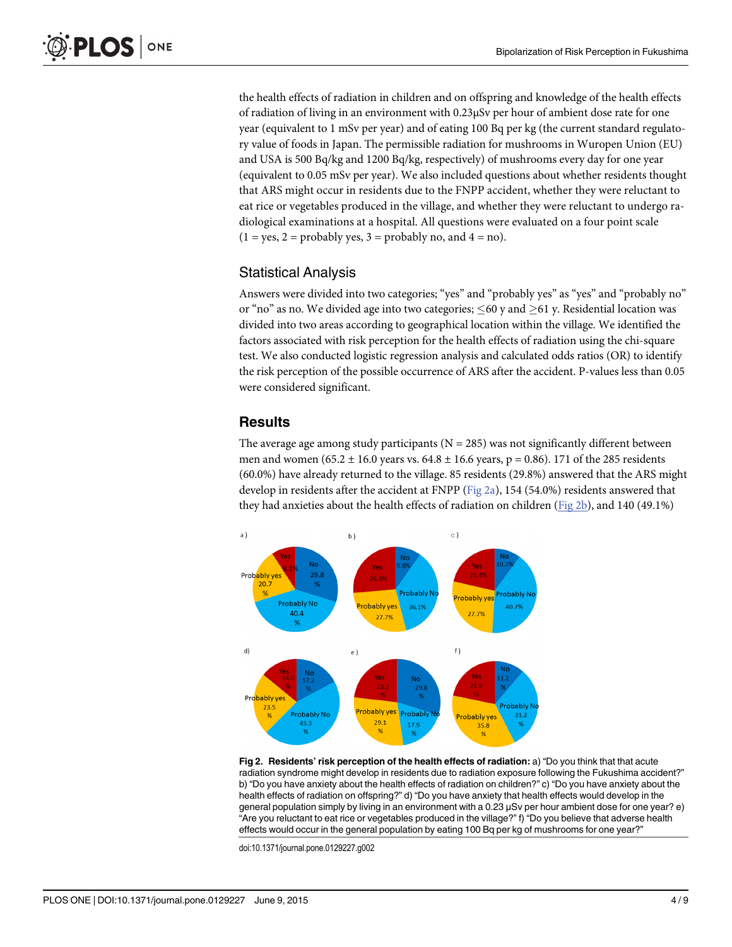<span id="page-3-0"></span>the health effects of radiation in children and on offspring and knowledge of the health effects of radiation of living in an environment with 0.23μSv per hour of ambient dose rate for one year (equivalent to 1 mSv per year) and of eating 100 Bq per kg (the current standard regulatory value of foods in Japan. The permissible radiation for mushrooms in Wuropen Union (EU) and USA is 500 Bq/kg and 1200 Bq/kg, respectively) of mushrooms every day for one year (equivalent to 0.05 mSv per year). We also included questions about whether residents thought that ARS might occur in residents due to the FNPP accident, whether they were reluctant to eat rice or vegetables produced in the village, and whether they were reluctant to undergo radiological examinations at a hospital. All questions were evaluated on a four point scale  $(1 = yes, 2 = probably yes, 3 = probably no, and 4 = no).$ 

# Statistical Analysis

Answers were divided into two categories; "yes" and "probably yes" as "yes" and "probably no" or "no" as no. We divided age into two categories;  $\leq 60$  y and  $\geq 61$  y. Residential location was divided into two areas according to geographical location within the village. We identified the factors associated with risk perception for the health effects of radiation using the chi-square test. We also conducted logistic regression analysis and calculated odds ratios (OR) to identify the risk perception of the possible occurrence of ARS after the accident. P-values less than 0.05 were considered significant.

# **Results**

The average age among study participants ( $N = 285$ ) was not significantly different between men and women (65.2 ± 16.0 years vs. 64.8 ± 16.6 years, p = 0.86). 171 of the 285 residents (60.0%) have already returned to the village. 85 residents (29.8%) answered that the ARS might develop in residents after the accident at FNPP (Fig  $2a$ ), 154 (54.0%) residents answered that they had anxieties about the health effects of radiation on children (Fig 2b), and 140 (49.1%)



Fig 2. Residents' risk perception of the health effects of radiation: a) "Do you think that that acute radiation syndrome might develop in residents due to radiation exposure following the Fukushima accident?" b) "Do you have anxiety about the health effects of radiation on children?" c) "Do you have anxiety about the health effects of radiation on offspring?" d) "Do you have anxiety that health effects would develop in the general population simply by living in an environment with a 0.23 μSv per hour ambient dose for one year? e) "Are you reluctant to eat rice or vegetables produced in the village?" f) "Do you believe that adverse health effects would occur in the general population by eating 100 Bq per kg of mushrooms for one year?"

doi:10.1371/journal.pone.0129227.g002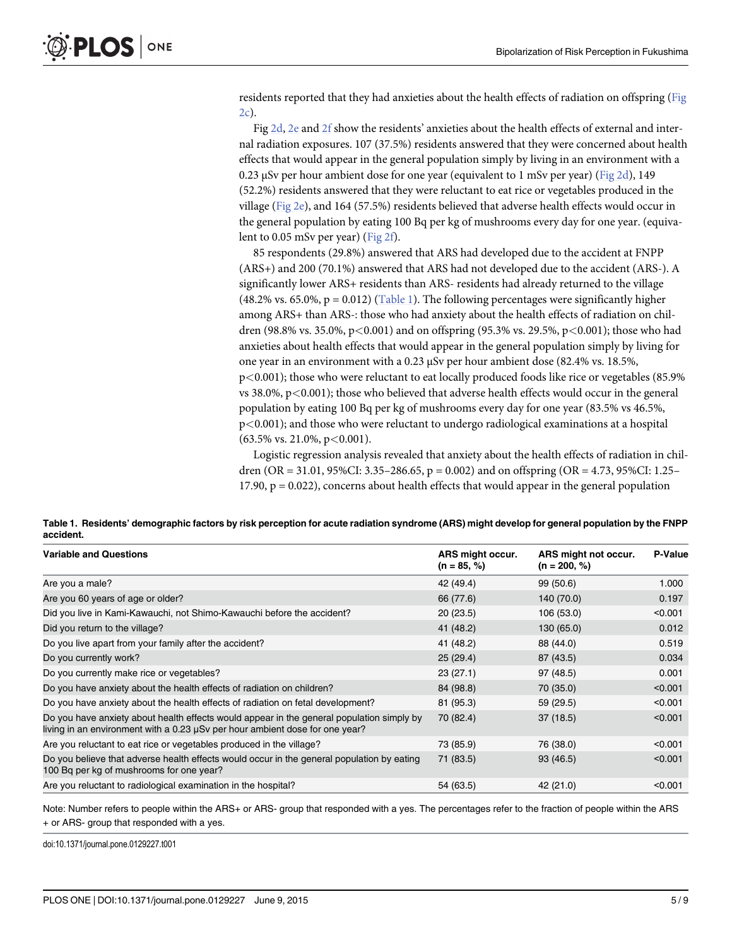residents reported that they had anxieties about the health effects of radiation on offspring ([Fig](#page-3-0) [2c\)](#page-3-0).

Fig [2d,](#page-3-0) [2e](#page-3-0) and [2f](#page-3-0) show the residents' anxieties about the health effects of external and internal radiation exposures. 107 (37.5%) residents answered that they were concerned about health effects that would appear in the general population simply by living in an environment with a 0.23 μSv per hour ambient dose for one year (equivalent to 1 mSv per year) ( $Fig 2d$ ), 149 (52.2%) residents answered that they were reluctant to eat rice or vegetables produced in the village ([Fig 2e\)](#page-3-0), and 164 (57.5%) residents believed that adverse health effects would occur in the general population by eating 100 Bq per kg of mushrooms every day for one year. (equivalent to 0.05 mSv per year) ( $Fig 2f$ ).

85 respondents (29.8%) answered that ARS had developed due to the accident at FNPP (ARS+) and 200 (70.1%) answered that ARS had not developed due to the accident (ARS-). A significantly lower ARS+ residents than ARS- residents had already returned to the village  $(48.2\% \text{ vs. } 65.0\%, \text{p} = 0.012)$  (Table 1). The following percentages were significantly higher among ARS+ than ARS-: those who had anxiety about the health effects of radiation on children (98.8% vs. 35.0%,  $p < 0.001$ ) and on offspring (95.3% vs. 29.5%,  $p < 0.001$ ); those who had anxieties about health effects that would appear in the general population simply by living for one year in an environment with a 0.23 μSv per hour ambient dose (82.4% vs. 18.5%, p<0.001); those who were reluctant to eat locally produced foods like rice or vegetables (85.9% vs  $38.0\%$ ,  $p < 0.001$ ); those who believed that adverse health effects would occur in the general population by eating 100 Bq per kg of mushrooms every day for one year (83.5% vs 46.5%, p<0.001); and those who were reluctant to undergo radiological examinations at a hospital  $(63.5\% \text{ vs. } 21.0\%, \text{ p} < 0.001).$ 

Logistic regression analysis revealed that anxiety about the health effects of radiation in children (OR = 31.01, 95%CI: 3.35–286.65, p = 0.002) and on offspring (OR = 4.73, 95%CI: 1.25– 17.90,  $p = 0.022$ ), concerns about health effects that would appear in the general population

Table 1. Residents' demographic factors by risk perception for acute radiation syndrome (ARS) might develop for general population by the FNPP accident.

| <b>Variable and Questions</b>                                                                                                                                             | ARS might occur.<br>$(n = 85, %)$ | ARS might not occur.<br>$(n = 200, %)$ | P-Value |
|---------------------------------------------------------------------------------------------------------------------------------------------------------------------------|-----------------------------------|----------------------------------------|---------|
| Are you a male?                                                                                                                                                           | 42 (49.4)                         | 99 (50.6)                              | 1.000   |
| Are you 60 years of age or older?                                                                                                                                         | 66 (77.6)                         | 140 (70.0)                             | 0.197   |
| Did you live in Kami-Kawauchi, not Shimo-Kawauchi before the accident?                                                                                                    | 20(23.5)                          | 106 (53.0)                             | < 0.001 |
| Did you return to the village?                                                                                                                                            | 41 (48.2)                         | 130 (65.0)                             | 0.012   |
| Do you live apart from your family after the accident?                                                                                                                    | 41 (48.2)                         | 88 (44.0)                              | 0.519   |
| Do you currently work?                                                                                                                                                    | 25(29.4)                          | 87 (43.5)                              | 0.034   |
| Do you currently make rice or vegetables?                                                                                                                                 | 23(27.1)                          | 97 (48.5)                              | 0.001   |
| Do you have anxiety about the health effects of radiation on children?                                                                                                    | 84 (98.8)                         | 70 (35.0)                              | < 0.001 |
| Do you have anxiety about the health effects of radiation on fetal development?                                                                                           | 81 (95.3)                         | 59 (29.5)                              | < 0.001 |
| Do you have anxiety about health effects would appear in the general population simply by<br>living in an environment with a 0.23 µSv per hour ambient dose for one year? | 70 (82.4)                         | 37(18.5)                               | < 0.001 |
| Are you reluctant to eat rice or vegetables produced in the village?                                                                                                      | 73 (85.9)                         | 76 (38.0)                              | < 0.001 |
| Do you believe that adverse health effects would occur in the general population by eating<br>100 Bq per kg of mushrooms for one year?                                    | 71 (83.5)                         | 93(46.5)                               | < 0.001 |
| Are you reluctant to radiological examination in the hospital?                                                                                                            | 54 (63.5)                         | 42 (21.0)                              | < 0.001 |

Note: Number refers to people within the ARS+ or ARS- group that responded with a yes. The percentages refer to the fraction of people within the ARS + or ARS- group that responded with a yes.

doi:10.1371/journal.pone.0129227.t001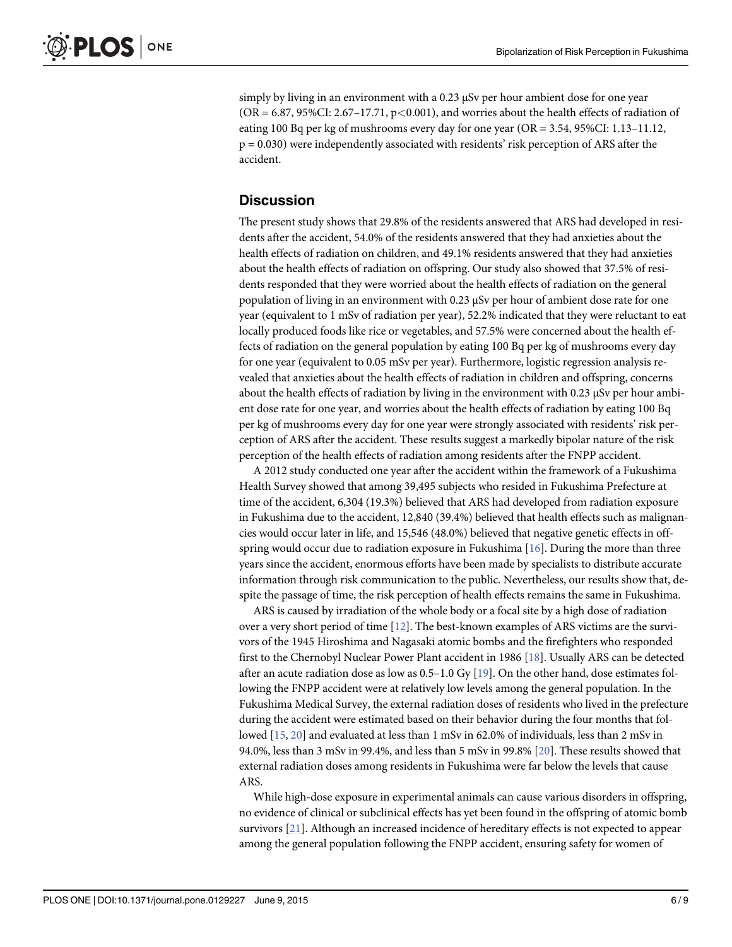<span id="page-5-0"></span>simply by living in an environment with a 0.23 μSv per hour ambient dose for one year  $(OR = 6.87, 95\% CI: 2.67–17.71, p < 0.001)$ , and worries about the health effects of radiation of eating 100 Bq per kg of mushrooms every day for one year (OR = 3.54, 95%CI: 1.13–11.12, p = 0.030) were independently associated with residents' risk perception of ARS after the accident.

# **Discussion**

The present study shows that 29.8% of the residents answered that ARS had developed in residents after the accident, 54.0% of the residents answered that they had anxieties about the health effects of radiation on children, and 49.1% residents answered that they had anxieties about the health effects of radiation on offspring. Our study also showed that 37.5% of residents responded that they were worried about the health effects of radiation on the general population of living in an environment with 0.23 μSv per hour of ambient dose rate for one year (equivalent to 1 mSv of radiation per year), 52.2% indicated that they were reluctant to eat locally produced foods like rice or vegetables, and 57.5% were concerned about the health effects of radiation on the general population by eating 100 Bq per kg of mushrooms every day for one year (equivalent to 0.05 mSv per year). Furthermore, logistic regression analysis revealed that anxieties about the health effects of radiation in children and offspring, concerns about the health effects of radiation by living in the environment with 0.23 μSv per hour ambient dose rate for one year, and worries about the health effects of radiation by eating 100 Bq per kg of mushrooms every day for one year were strongly associated with residents' risk perception of ARS after the accident. These results suggest a markedly bipolar nature of the risk perception of the health effects of radiation among residents after the FNPP accident.

A 2012 study conducted one year after the accident within the framework of a Fukushima Health Survey showed that among 39,495 subjects who resided in Fukushima Prefecture at time of the accident, 6,304 (19.3%) believed that ARS had developed from radiation exposure in Fukushima due to the accident, 12,840 (39.4%) believed that health effects such as malignancies would occur later in life, and 15,546 (48.0%) believed that negative genetic effects in offspring would occur due to radiation exposure in Fukushima [[16](#page-7-0)]. During the more than three years since the accident, enormous efforts have been made by specialists to distribute accurate information through risk communication to the public. Nevertheless, our results show that, despite the passage of time, the risk perception of health effects remains the same in Fukushima.

ARS is caused by irradiation of the whole body or a focal site by a high dose of radiation over a very short period of time [[12\]](#page-7-0). The best-known examples of ARS victims are the survivors of the 1945 Hiroshima and Nagasaki atomic bombs and the firefighters who responded first to the Chernobyl Nuclear Power Plant accident in 1986 [\[18\]](#page-7-0). Usually ARS can be detected after an acute radiation dose as low as  $0.5-1.0$  Gy [\[19\]](#page-7-0). On the other hand, dose estimates following the FNPP accident were at relatively low levels among the general population. In the Fukushima Medical Survey, the external radiation doses of residents who lived in the prefecture during the accident were estimated based on their behavior during the four months that followed [\[15,](#page-7-0) [20\]](#page-7-0) and evaluated at less than 1 mSv in 62.0% of individuals, less than 2 mSv in 94.0%, less than 3 mSv in 99.4%, and less than 5 mSv in 99.8% [[20](#page-7-0)]. These results showed that external radiation doses among residents in Fukushima were far below the levels that cause ARS.

While high-dose exposure in experimental animals can cause various disorders in offspring, no evidence of clinical or subclinical effects has yet been found in the offspring of atomic bomb survivors [\[21\]](#page-7-0). Although an increased incidence of hereditary effects is not expected to appear among the general population following the FNPP accident, ensuring safety for women of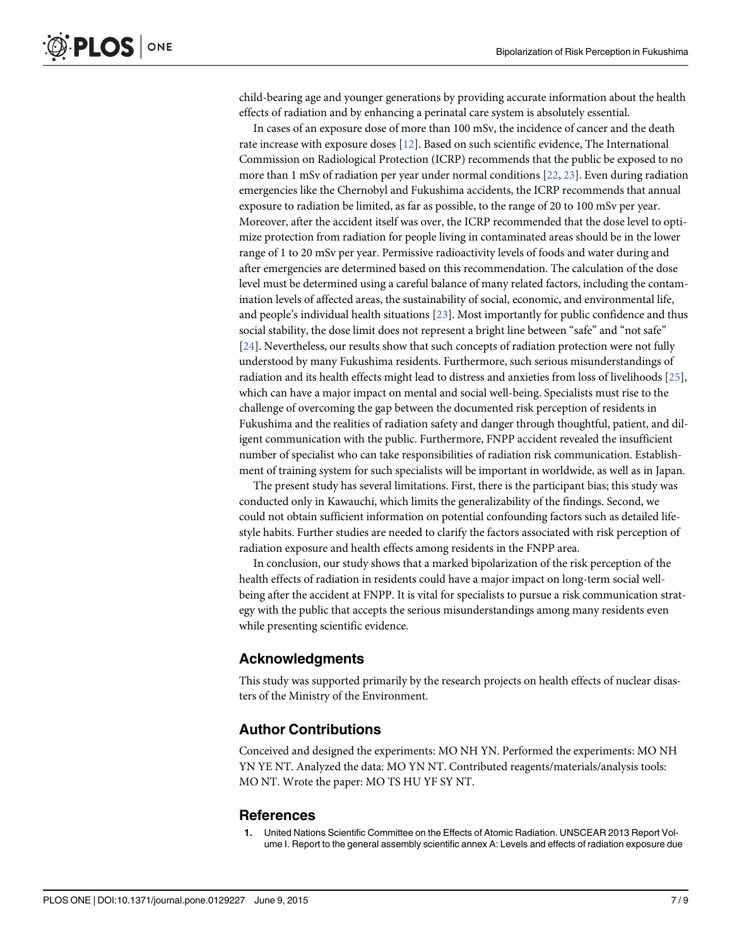<span id="page-6-0"></span>child-bearing age and younger generations by providing accurate information about the health effects of radiation and by enhancing a perinatal care system is absolutely essential.

In cases of an exposure dose of more than 100 mSv, the incidence of cancer and the death rate increase with exposure doses [\[12\]](#page-7-0). Based on such scientific evidence, The International Commission on Radiological Protection (ICRP) recommends that the public be exposed to no more than 1 mSv of radiation per year under normal conditions [[22](#page-7-0), [23](#page-8-0)]. Even during radiation emergencies like the Chernobyl and Fukushima accidents, the ICRP recommends that annual exposure to radiation be limited, as far as possible, to the range of 20 to 100 mSv per year. Moreover, after the accident itself was over, the ICRP recommended that the dose level to optimize protection from radiation for people living in contaminated areas should be in the lower range of 1 to 20 mSv per year. Permissive radioactivity levels of foods and water during and after emergencies are determined based on this recommendation. The calculation of the dose level must be determined using a careful balance of many related factors, including the contamination levels of affected areas, the sustainability of social, economic, and environmental life, and people's individual health situations [\[23\]](#page-8-0). Most importantly for public confidence and thus social stability, the dose limit does not represent a bright line between "safe" and "not safe" [\[24](#page-8-0)]. Nevertheless, our results show that such concepts of radiation protection were not fully understood by many Fukushima residents. Furthermore, such serious misunderstandings of radiation and its health effects might lead to distress and anxieties from loss of livelihoods [[25](#page-8-0)], which can have a major impact on mental and social well-being. Specialists must rise to the challenge of overcoming the gap between the documented risk perception of residents in Fukushima and the realities of radiation safety and danger through thoughtful, patient, and diligent communication with the public. Furthermore, FNPP accident revealed the insufficient number of specialist who can take responsibilities of radiation risk communication. Establishment of training system for such specialists will be important in worldwide, as well as in Japan.

The present study has several limitations. First, there is the participant bias; this study was conducted only in Kawauchi, which limits the generalizability of the findings. Second, we could not obtain sufficient information on potential confounding factors such as detailed lifestyle habits. Further studies are needed to clarify the factors associated with risk perception of radiation exposure and health effects among residents in the FNPP area.

In conclusion, our study shows that a marked bipolarization of the risk perception of the health effects of radiation in residents could have a major impact on long-term social wellbeing after the accident at FNPP. It is vital for specialists to pursue a risk communication strategy with the public that accepts the serious misunderstandings among many residents even while presenting scientific evidence.

## Acknowledgments

This study was supported primarily by the research projects on health effects of nuclear disasters of the Ministry of the Environment.

## Author Contributions

Conceived and designed the experiments: MO NH YN. Performed the experiments: MO NH YN YE NT. Analyzed the data: MO YN NT. Contributed reagents/materials/analysis tools: MO NT. Wrote the paper: MO TS HU YF SY NT.

#### **References**

[1.](#page-1-0) United Nations Scientific Committee on the Effects of Atomic Radiation. UNSCEAR 2013 Report Volume I. Report to the general assembly scientific annex A: Levels and effects of radiation exposure due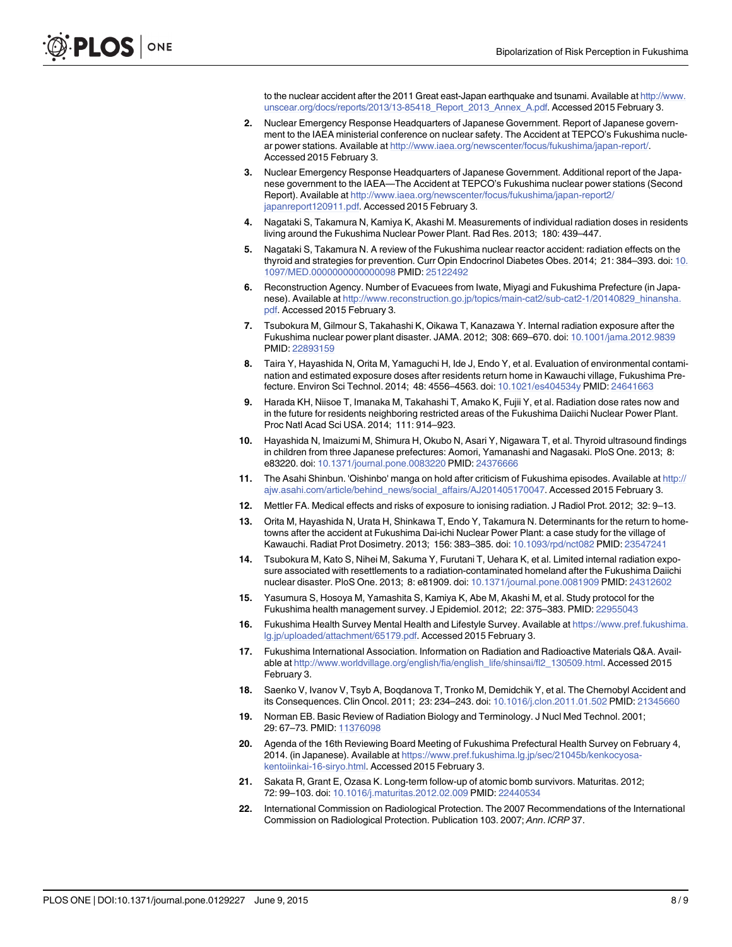to the nuclear accident after the 2011 Great east-Japan earthquake and tsunami. Available at [http://www.](http://www.unscear.org/docs/reports/2013/13-85418_Report_2013_Annex_A.pdf) [unscear.org/docs/reports/2013/13-85418\\_Report\\_2013\\_Annex\\_A.pdf.](http://www.unscear.org/docs/reports/2013/13-85418_Report_2013_Annex_A.pdf) Accessed 2015 February 3.

- <span id="page-7-0"></span>[2.](#page-1-0) Nuclear Emergency Response Headquarters of Japanese Government. Report of Japanese government to the IAEA ministerial conference on nuclear safety. The Accident at TEPCO's Fukushima nuclear power stations. Available at [http://www.iaea.org/newscenter/focus/fukushima/japan-report/.](http://www.iaea.org/newscenter/focus/fukushima/japan-report/) Accessed 2015 February 3.
- 3. Nuclear Emergency Response Headquarters of Japanese Government. Additional report of the Japanese government to the IAEA—The Accident at TEPCO's Fukushima nuclear power stations (Second Report). Available at [http://www.iaea.org/newscenter/focus/fukushima/japan-report2/](http://www.iaea.org/newscenter/focus/fukushima/japan-report2/japanreport120911.pdf) [japanreport120911.pdf](http://www.iaea.org/newscenter/focus/fukushima/japan-report2/japanreport120911.pdf). Accessed 2015 February 3.
- [4.](#page-1-0) Nagataki S, Takamura N, Kamiya K, Akashi M. Measurements of individual radiation doses in residents living around the Fukushima Nuclear Power Plant. Rad Res. 2013; 180: 439–447.
- [5.](#page-1-0) Nagataki S, Takamura N. A review of the Fukushima nuclear reactor accident: radiation effects on the thyroid and strategies for prevention. Curr Opin Endocrinol Diabetes Obes. 2014; 21: 384–393. doi: [10.](http://dx.doi.org/10.1097/MED.0000000000000098) [1097/MED.0000000000000098](http://dx.doi.org/10.1097/MED.0000000000000098) PMID: [25122492](http://www.ncbi.nlm.nih.gov/pubmed/25122492)
- [6.](#page-1-0) Reconstruction Agency. Number of Evacuees from Iwate, Miyagi and Fukushima Prefecture (in Japanese). Available at [http://www.reconstruction.go.jp/topics/main-cat2/sub-cat2-1/20140829\\_hinansha.](http://www.reconstruction.go.jp/topics/main-cat2/sub-cat2-1/20140829_hinansha.pdf) [pdf.](http://www.reconstruction.go.jp/topics/main-cat2/sub-cat2-1/20140829_hinansha.pdf) Accessed 2015 February 3.
- [7.](#page-1-0) Tsubokura M, Gilmour S, Takahashi K, Oikawa T, Kanazawa Y. Internal radiation exposure after the Fukushima nuclear power plant disaster. JAMA. 2012; 308: 669–670. doi: [10.1001/jama.2012.9839](http://dx.doi.org/10.1001/jama.2012.9839) PMID: [22893159](http://www.ncbi.nlm.nih.gov/pubmed/22893159)
- 8. Taira Y, Hayashida N, Orita M, Yamaguchi H, Ide J, Endo Y, et al. Evaluation of environmental contamination and estimated exposure doses after residents return home in Kawauchi village, Fukushima Prefecture. Environ Sci Technol. 2014; 48: 4556–4563. doi: [10.1021/es404534y](http://dx.doi.org/10.1021/es404534y) PMID: [24641663](http://www.ncbi.nlm.nih.gov/pubmed/24641663)
- 9. Harada KH, Niisoe T, Imanaka M, Takahashi T, Amako K, Fujii Y, et al. Radiation dose rates now and in the future for residents neighboring restricted areas of the Fukushima Daiichi Nuclear Power Plant. Proc Natl Acad Sci USA. 2014; 111: 914–923.
- [10.](#page-1-0) Hayashida N, Imaizumi M, Shimura H, Okubo N, Asari Y, Nigawara T, et al. Thyroid ultrasound findings in children from three Japanese prefectures: Aomori, Yamanashi and Nagasaki. PloS One. 2013; 8: e83220. doi: [10.1371/journal.pone.0083220](http://dx.doi.org/10.1371/journal.pone.0083220) PMID: [24376666](http://www.ncbi.nlm.nih.gov/pubmed/24376666)
- [11.](#page-1-0) The Asahi Shinbun. 'Oishinbo' manga on hold after criticism of Fukushima episodes. Available at [http://](http://ajw.asahi.com/article/behind_news/social_affairs/AJ201405170047) [ajw.asahi.com/article/behind\\_news/social\\_affairs/AJ201405170047.](http://ajw.asahi.com/article/behind_news/social_affairs/AJ201405170047) Accessed 2015 February 3.
- [12.](#page-1-0) Mettler FA. Medical effects and risks of exposure to ionising radiation. J Radiol Prot. 2012; 32: 9–13.
- [13.](#page-2-0) Orita M, Hayashida N, Urata H, Shinkawa T, Endo Y, Takamura N. Determinants for the return to hometowns after the accident at Fukushima Dai-ichi Nuclear Power Plant: a case study for the village of Kawauchi. Radiat Prot Dosimetry. 2013; 156: 383–385. doi: [10.1093/rpd/nct082](http://dx.doi.org/10.1093/rpd/nct082) PMID: [23547241](http://www.ncbi.nlm.nih.gov/pubmed/23547241)
- [14.](#page-2-0) Tsubokura M, Kato S, Nihei M, Sakuma Y, Furutani T, Uehara K, et al. Limited internal radiation exposure associated with resettlements to a radiation-contaminated homeland after the Fukushima Daiichi nuclear disaster. PloS One. 2013; 8: e81909. doi: [10.1371/journal.pone.0081909](http://dx.doi.org/10.1371/journal.pone.0081909) PMID: [24312602](http://www.ncbi.nlm.nih.gov/pubmed/24312602)
- [15.](#page-2-0) Yasumura S, Hosoya M, Yamashita S, Kamiya K, Abe M, Akashi M, et al. Study protocol for the Fukushima health management survey. J Epidemiol. 2012; 22: 375–383. PMID: [22955043](http://www.ncbi.nlm.nih.gov/pubmed/22955043)
- [16.](#page-2-0) Fukushima Health Survey Mental Health and Lifestyle Survey. Available at [https://www.pref.fukushima.](https://www.pref.fukushima.lg.jp/uploaded/attachment/65179.pdf) [lg.jp/uploaded/attachment/65179.pdf.](https://www.pref.fukushima.lg.jp/uploaded/attachment/65179.pdf) Accessed 2015 February 3.
- [17.](#page-2-0) Fukushima International Association. Information on Radiation and Radioactive Materials Q&A. Available at [http://www.worldvillage.org/english/fia/english\\_life/shinsai/fl2\\_130509.html](http://www.worldvillage.org/english/fia/english_life/shinsai/fl2_130509.html). Accessed 2015 February 3.
- [18.](#page-5-0) Saenko V, Ivanov V, Tsyb A, Boqdanova T, Tronko M, Demidchik Y, et al. The Chernobyl Accident and its Consequences. Clin Oncol. 2011; 23: 234-243. doi: [10.1016/j.clon.2011.01.502](http://dx.doi.org/10.1016/j.clon.2011.01.502) PMID: [21345660](http://www.ncbi.nlm.nih.gov/pubmed/21345660)
- [19.](#page-5-0) Norman EB. Basic Review of Radiation Biology and Terminology. J Nucl Med Technol. 2001; 29: 67–73. PMID: [11376098](http://www.ncbi.nlm.nih.gov/pubmed/11376098)
- [20.](#page-5-0) Agenda of the 16th Reviewing Board Meeting of Fukushima Prefectural Health Survey on February 4, 2014. (in Japanese). Available at [https://www.pref.fukushima.lg.jp/sec/21045b/kenkocyosa](https://www.pref.fukushima.lg.jp/sec/21045b/kenkocyosa-kentoiinkai-16-siryo.html)[kentoiinkai-16-siryo.html](https://www.pref.fukushima.lg.jp/sec/21045b/kenkocyosa-kentoiinkai-16-siryo.html). Accessed 2015 February 3.
- [21.](#page-5-0) Sakata R, Grant E, Ozasa K. Long-term follow-up of atomic bomb survivors. Maturitas. 2012; 72: 99–103. doi: [10.1016/j.maturitas.2012.02.009](http://dx.doi.org/10.1016/j.maturitas.2012.02.009) PMID: [22440534](http://www.ncbi.nlm.nih.gov/pubmed/22440534)
- [22.](#page-6-0) International Commission on Radiological Protection. The 2007 Recommendations of the International Commission on Radiological Protection. Publication 103. 2007; Ann. ICRP 37.